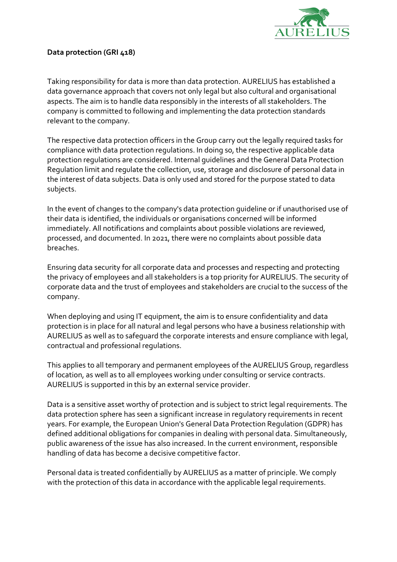

## Data protection (GRI 418)

Taking responsibility for data is more than data protection. AURELIUS has established a data governance approach that covers not only legal but also cultural and organisational aspects. The aim is to handle data responsibly in the interests of all stakeholders. The company is committed to following and implementing the data protection standards relevant to the company.

The respective data protection officers in the Group carry out the legally required tasks for compliance with data protection regulations. In doing so, the respective applicable data protection regulations are considered. Internal guidelines and the General Data Protection Regulation limit and regulate the collection, use, storage and disclosure of personal data in the interest of data subjects. Data is only used and stored for the purpose stated to data subjects.

In the event of changes to the company's data protection guideline or if unauthorised use of their data is identified, the individuals or organisations concerned will be informed immediately. All notifications and complaints about possible violations are reviewed, processed, and documented. In 2021, there were no complaints about possible data breaches.

Ensuring data security for all corporate data and processes and respecting and protecting the privacy of employees and all stakeholders is a top priority for AURELIUS. The security of corporate data and the trust of employees and stakeholders are crucial to the success of the company.

When deploying and using IT equipment, the aim is to ensure confidentiality and data protection is in place for all natural and legal persons who have a business relationship with AURELIUS as well as to safeguard the corporate interests and ensure compliance with legal, contractual and professional regulations.

This applies to all temporary and permanent employees of the AURELIUS Group, regardless of location, as well as to all employees working under consulting or service contracts. AURELIUS is supported in this by an external service provider.

Data is a sensitive asset worthy of protection and is subject to strict legal requirements. The data protection sphere has seen a significant increase in regulatory requirements in recent years. For example, the European Union's General Data Protection Regulation (GDPR) has defined additional obligations for companies in dealing with personal data. Simultaneously, public awareness of the issue has also increased. In the current environment, responsible handling of data has become a decisive competitive factor.

Personal data is treated confidentially by AURELIUS as a matter of principle. We comply with the protection of this data in accordance with the applicable legal requirements.